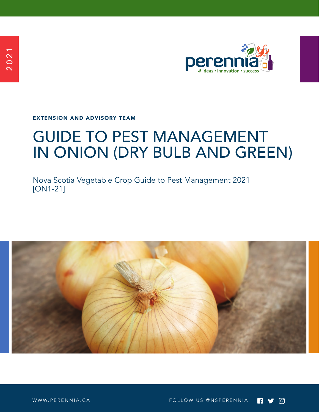

EXTENSION AND ADVISORY TEAM

# GUIDE TO PEST MANAGEMENT IN ONION (DRY BULB AND GREEN)

Nova Scotia Vegetable Crop Guide to Pest Management 2021 [ON1-21]

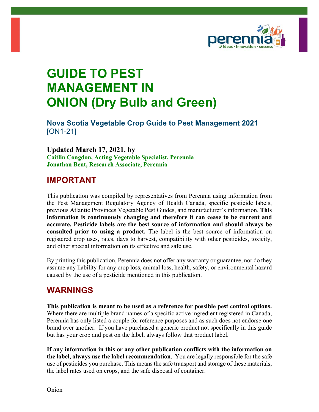

## **GUIDE TO PEST MANAGEMENT IN ONION (Dry Bulb and Green)**

**Nova Scotia Vegetable Crop Guide to Pest Management 2021** [ON1-21]

**Updated March 17, 2021, by Caitlin Congdon, Acting Vegetable Specialist, Perennia Jonathan Bent, Research Associate, Perennia**

#### **IMPORTANT**

This publication was compiled by representatives from Perennia using information from the Pest Management Regulatory Agency of Health Canada, specific pesticide labels, previous Atlantic Provinces Vegetable Pest Guides, and manufacturer's information. **This information is continuously changing and therefore it can cease to be current and accurate. Pesticide labels are the best source of information and should always be consulted prior to using a product.** The label is the best source of information on registered crop uses, rates, days to harvest, compatibility with other pesticides, toxicity, and other special information on its effective and safe use.

By printing this publication, Perennia does not offer any warranty or guarantee, nor do they assume any liability for any crop loss, animal loss, health, safety, or environmental hazard caused by the use of a pesticide mentioned in this publication.

#### **WARNINGS**

**This publication is meant to be used as a reference for possible pest control options.**  Where there are multiple brand names of a specific active ingredient registered in Canada, Perennia has only listed a couple for reference purposes and as such does not endorse one brand over another. If you have purchased a generic product not specifically in this guide but has your crop and pest on the label, always follow that product label.

**If any information in this or any other publication conflicts with the information on the label, always use the label recommendation**. You are legally responsible for the safe use of pesticides you purchase. This means the safe transport and storage of these materials, the label rates used on crops, and the safe disposal of container.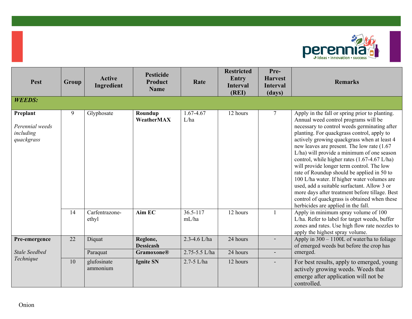

| Pest                                                   | Group | <b>Active</b><br>Ingredient | <b>Pesticide</b><br><b>Product</b><br><b>Name</b> | Rate              | <b>Restricted</b><br><b>Entry</b><br><b>Interval</b><br>(REI) | Pre-<br><b>Harvest</b><br><b>Interval</b><br>(days) | <b>Remarks</b>                                                                                                                                                                                                                                                                                                                                                                                                                                                                                                                                                                                                                                                                                                    |
|--------------------------------------------------------|-------|-----------------------------|---------------------------------------------------|-------------------|---------------------------------------------------------------|-----------------------------------------------------|-------------------------------------------------------------------------------------------------------------------------------------------------------------------------------------------------------------------------------------------------------------------------------------------------------------------------------------------------------------------------------------------------------------------------------------------------------------------------------------------------------------------------------------------------------------------------------------------------------------------------------------------------------------------------------------------------------------------|
| <b>WEEDS:</b>                                          |       |                             |                                                   |                   |                                                               |                                                     |                                                                                                                                                                                                                                                                                                                                                                                                                                                                                                                                                                                                                                                                                                                   |
| Preplant<br>Perennial weeds<br>including<br>quackgrass | 9     | Glyphosate                  | Roundup<br>WeatherMAX                             | 1.67-4.67<br>L/ha | 12 hours                                                      | $\overline{7}$                                      | Apply in the fall or spring prior to planting.<br>Annual weed control programs will be<br>necessary to control weeds germinating after<br>planting. For quackgrass control, apply to<br>actively growing quackgrass when at least 4<br>new leaves are present. The low rate (1.67<br>L/ha) will provide a minimum of one season<br>control, while higher rates (1.67-4.67 L/ha)<br>will provide longer term control. The low<br>rate of Roundup should be applied in 50 to<br>100 L/ha water. If higher water volumes are<br>used, add a suitable surfactant. Allow 3 or<br>more days after treatment before tillage. Best<br>control of quackgrass is obtained when these<br>herbicides are applied in the fall. |
|                                                        | 14    | Carfentrazone-<br>ethyl     | Aim EC                                            | 36.5-117<br>mL/ha | 12 hours                                                      |                                                     | Apply in minimum spray volume of 100<br>L/ha. Refer to label for target weeds, buffer<br>zones and rates. Use high flow rate nozzles to<br>apply the highest spray volume.                                                                                                                                                                                                                                                                                                                                                                                                                                                                                                                                        |
| Pre-emergence                                          | 22    | Diquat                      | Reglone,<br><b>Dessicash</b>                      | 2.3-4.6 L/ha      | 24 hours                                                      |                                                     | Apply in $300 - 1100L$ of water/ha to foliage<br>of emerged weeds but before the crop has                                                                                                                                                                                                                                                                                                                                                                                                                                                                                                                                                                                                                         |
| <b>Stale Seedbed</b>                                   |       | Paraquat                    | <b>Gramoxone®</b>                                 | 2.75-5.5 L/ha     | 24 hours                                                      |                                                     | emerged.                                                                                                                                                                                                                                                                                                                                                                                                                                                                                                                                                                                                                                                                                                          |
| Technique                                              | 10    | glufosinate<br>ammonium     | <b>Ignite SN</b>                                  | $2.7 - 5$ L/ha    | 12 hours                                                      |                                                     | For best results, apply to emerged, young<br>actively growing weeds. Weeds that<br>emerge after application will not be<br>controlled.                                                                                                                                                                                                                                                                                                                                                                                                                                                                                                                                                                            |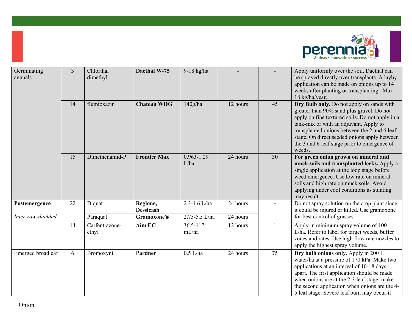

| Germinating<br>annuals | $\overline{3}$ | Chlorthal<br>dimethyl   | Dacthal W-75                 | 9-18 kg/ha             |          |              | Apply uniformly over the soil. Dacthal can<br>be sprayed directly over transplants. A layby<br>application can be made on onions up to 14<br>weeks after planting or transplanting. Max<br>18 kg/ha/year.                                                                                                                                     |
|------------------------|----------------|-------------------------|------------------------------|------------------------|----------|--------------|-----------------------------------------------------------------------------------------------------------------------------------------------------------------------------------------------------------------------------------------------------------------------------------------------------------------------------------------------|
|                        | 14             | flumioxazin             | <b>Chateau WDG</b>           | 140g/ha                | 12 hours | 45           | Dry Bulb only. Do not apply on sands with<br>greater than 90% sand plus gravel. Do not<br>apply on fine textured soils. Do not apply in a<br>tank-mix or with an adjuvant. Apply to<br>transplanted onions between the 2 and 6 leaf<br>stage. On direct seeded onions apply between<br>the 3 and 6 leaf stage prior to emergence of<br>weeds. |
|                        | 15             | Dimethenamid-P          | <b>Frontier Max</b>          | $0.963 - 1.29$<br>L/ha | 24 hours | 30           | For green onion grown on mineral and<br>muck soils and transplanted leeks. Apply a<br>single application at the loop stage before<br>weed emergence. Use low rate on mineral<br>soils and high rate on muck soils. Avoid<br>applying under cool conditions as stunting<br>may result.                                                         |
| Postemergence          | 22             | Diquat                  | Reglone,<br><b>Dessicash</b> | 2.3-4.6 L/ha           | 24 hours |              | Do not spray solution on the crop plant since<br>it could be injured or killed. Use gramoxone                                                                                                                                                                                                                                                 |
| Inter-row shielded     |                | Paraquat                | <b>Gramoxone®</b>            | 2.75-5.5 L/ha          | 24 hours |              | for best control of grasses.                                                                                                                                                                                                                                                                                                                  |
|                        | 14             | Carfentrazone-<br>ethyl | Aim EC                       | 36.5-117<br>mL/ha      | 12 hours | $\mathbf{1}$ | Apply in minimum spray volume of 100<br>L/ha. Refer to label for target weeds, buffer<br>zones and rates. Use high flow rate nozzles to<br>apply the highest spray volume.                                                                                                                                                                    |
| Emerged broadleaf      | 6              | Bromoxynil              | Pardner                      | $0.5$ L/ha             | 24 hours | 75           | Dry bulb onions only. Apply in 200 L<br>water/ha at a pressure of 170 kPa. Make two<br>applications at an interval of 10-18 days<br>apart. The first application should be made<br>when onions are at the 2-3 leaf stage; make<br>the second application when onions are the 4-<br>5 leaf stage. Severe leaf burn may occur if                |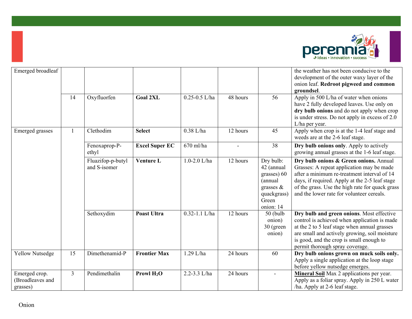

| Emerged broadleaf                             |                |                                   |                       |                   |                |                                                                                                        | the weather has not been conducive to the<br>development of the outer waxy layer of the<br>onion leaf. Redroot pigweed and common<br>groundsel.                                                                                                                                      |
|-----------------------------------------------|----------------|-----------------------------------|-----------------------|-------------------|----------------|--------------------------------------------------------------------------------------------------------|--------------------------------------------------------------------------------------------------------------------------------------------------------------------------------------------------------------------------------------------------------------------------------------|
|                                               | 14             | Oxyfluorfen                       | <b>Goal 2XL</b>       | $0.25 - 0.5$ L/ha | 48 hours       | 56                                                                                                     | Apply in 500 L/ha of water when onions<br>have 2 fully developed leaves. Use only on<br>dry bulb onions and do not apply when crop<br>is under stress. Do not apply in excess of 2.0<br>L/ha per year.                                                                               |
| <b>Emerged</b> grasses                        | $\overline{1}$ | Clethodim                         | <b>Select</b>         | $0.38$ L/ha       | 12 hours       | 45                                                                                                     | Apply when crop is at the 1-4 leaf stage and<br>weeds are at the 2-6 leaf stage.                                                                                                                                                                                                     |
|                                               |                | Fenoxaprop-P-<br>ethyl            | <b>Excel Super EC</b> | $670$ ml/ha       | $\blacksquare$ | 38                                                                                                     | Dry bulb onions only. Apply to actively<br>growing annual grasses at the 1-6 leaf stage.                                                                                                                                                                                             |
|                                               |                | Fluazifop-p-butyl<br>and S-isomer | <b>Venture L</b>      | $1.0 - 2.0$ L/ha  | 12 hours       | Dry bulb:<br>42 (annual<br>grasses) 60<br>(annual<br>grasses $\&$<br>quackgrass)<br>Green<br>onion: 14 | Dry bulb onions & Green onions. Annual<br>Grasses: A repeat application may be made<br>after a minimum re-treatment interval of 14<br>days, if required. Apply at the 2-5 leaf stage<br>of the grass. Use the high rate for quack grass<br>and the lower rate for volunteer cereals. |
|                                               |                | Sethoxydim                        | <b>Poast Ultra</b>    | $0.32 - 1.1$ L/ha | 12 hours       | $50$ (bulb<br>onion)<br>30 (green<br>onion)                                                            | Dry bulb and green onions. Most effective<br>control is achieved when application is made<br>at the 2 to 5 leaf stage when annual grasses<br>are small and actively growing, soil moisture<br>is good, and the crop is small enough to<br>permit thorough spray coverage.            |
| <b>Yellow Nutsedge</b>                        | 15             | Dimethenamid-P                    | <b>Frontier Max</b>   | 1.29 L/ha         | 24 hours       | 60                                                                                                     | Dry bulb onions grown on muck soils only.<br>Apply a single application at the loop stage<br>before yellow nutsedge emerges.                                                                                                                                                         |
| Emerged crop.<br>(Broadleaves and<br>grasses) | $\overline{3}$ | Pendimethalin                     | Prowl $H_2O$          | 2.2-3.3 L/ha      | 24 hours       |                                                                                                        | Mineral Soil Max 2 applications per year.<br>Apply as a foliar spray. Apply in 250 L water<br>/ha. Apply at 2-6 leaf stage.                                                                                                                                                          |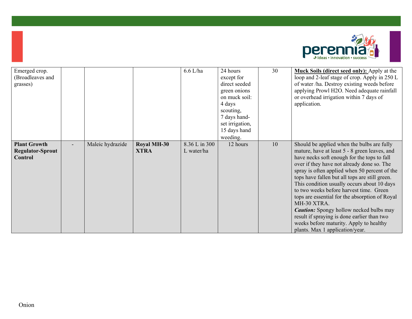

| Emerged crop.<br>(Broadleaves and<br>grasses)      |                  |                                   | $6.6$ L/ha                  | 24 hours<br>except for<br>direct seeded<br>green onions<br>on muck soil:<br>4 days<br>scouting, | 30 | Muck Soils (direct seed only): Apply at the<br>loop and 2-leaf stage of crop. Apply in 250 L<br>of water /ha. Destroy existing weeds before<br>applying Prowl H2O. Need adequate rainfall<br>or overhead irrigation within 7 days of<br>application.                                                                                                                                                                                                                                                                                                                                                                                  |
|----------------------------------------------------|------------------|-----------------------------------|-----------------------------|-------------------------------------------------------------------------------------------------|----|---------------------------------------------------------------------------------------------------------------------------------------------------------------------------------------------------------------------------------------------------------------------------------------------------------------------------------------------------------------------------------------------------------------------------------------------------------------------------------------------------------------------------------------------------------------------------------------------------------------------------------------|
|                                                    |                  |                                   |                             | 7 days hand-<br>set irrigation,                                                                 |    |                                                                                                                                                                                                                                                                                                                                                                                                                                                                                                                                                                                                                                       |
|                                                    |                  |                                   |                             | 15 days hand<br>weeding.                                                                        |    |                                                                                                                                                                                                                                                                                                                                                                                                                                                                                                                                                                                                                                       |
| <b>Plant Growth</b><br>Regulator-Sprout<br>Control | Maleic hydrazide | <b>Royal MH-30</b><br><b>XTRA</b> | 8.36 L in 300<br>L water/ha | 12 hours                                                                                        | 10 | Should be applied when the bulbs are fully<br>mature, have at least 5 - 8 green leaves, and<br>have necks soft enough for the tops to fall<br>over if they have not already done so. The<br>spray is often applied when 50 percent of the<br>tops have fallen but all tops are still green.<br>This condition usually occurs about 10 days<br>to two weeks before harvest time. Green<br>tops are essential for the absorption of Royal<br>MH-30 XTRA.<br><b>Caution:</b> Spongy hollow necked bulbs may<br>result if spraying is done earlier than two<br>weeks before maturity. Apply to healthy<br>plants. Max 1 application/year. |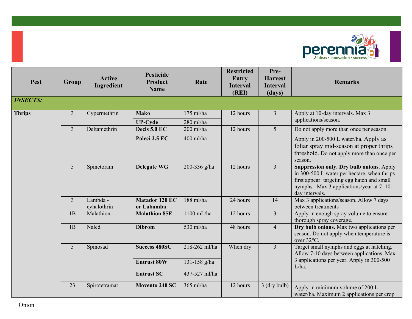

| <b>Pest</b>     | Group          | <b>Active</b><br>Ingredient | <b>Pesticide</b><br><b>Product</b><br><b>Name</b> | Rate          | <b>Restricted</b><br><b>Entry</b><br><b>Interval</b><br>(REI) | Pre-<br><b>Harvest</b><br><b>Interval</b><br>(days) | <b>Remarks</b>                                                                                                                                                                                       |
|-----------------|----------------|-----------------------------|---------------------------------------------------|---------------|---------------------------------------------------------------|-----------------------------------------------------|------------------------------------------------------------------------------------------------------------------------------------------------------------------------------------------------------|
| <b>INSECTS:</b> |                |                             |                                                   |               |                                                               |                                                     |                                                                                                                                                                                                      |
| <b>Thrips</b>   | 3              | Cypermethrin                | <b>Mako</b>                                       | 175 ml/ha     | 12 hours                                                      | $\overline{3}$                                      | Apply at 10-day intervals. Max 3                                                                                                                                                                     |
|                 |                |                             | <b>UP-Cyde</b>                                    | $280$ ml/ha   |                                                               |                                                     | applications/season.                                                                                                                                                                                 |
|                 | $\overline{3}$ | Deltamethrin                | Decis 5.0 EC                                      | $200$ ml/ha   | 12 hours                                                      | 5                                                   | Do not apply more than once per season.                                                                                                                                                              |
|                 |                |                             | Poleci 2.5 EC                                     | 400 ml/ha     |                                                               |                                                     | Apply in 200-500 L water/ha. Apply as<br>foliar spray mid-season at proper thrips<br>threshold. Do not apply more than once per<br>season.                                                           |
|                 | 5 <sup>5</sup> | Spinetoram                  | <b>Delegate WG</b>                                | 200-336 g/ha  | 12 hours                                                      | $\overline{3}$                                      | Suppression only. Dry bulb onions. Apply<br>in 300-500 L water per hectare, when thrips<br>first appear: targeting egg hatch and small<br>nymphs. Max 3 applications/year at 7-10-<br>day intervals. |
|                 | $\overline{3}$ | Lambda -<br>cyhalothrin     | <b>Matador 120 EC</b><br>or Labamba               | $188$ ml/ha   | 24 hours                                                      | 14                                                  | Max 3 applications/season. Allow 7 days<br>between treatments                                                                                                                                        |
|                 | 1B             | Malathion                   | <b>Malathion 85E</b>                              | 1100 mL/ha    | 12 hours                                                      | $\overline{3}$                                      | Apply in enough spray volume to ensure<br>thorough spray coverage.                                                                                                                                   |
|                 | 1B             | Naled                       | <b>Dibrom</b>                                     | 530 ml/ha     | 48 hours                                                      | $\overline{4}$                                      | Dry bulb onions. Max two applications per<br>season. Do not apply when temperature is<br>over 32°C.                                                                                                  |
|                 | 5 <sup>5</sup> | Spinosad                    | <b>Success 480SC</b>                              | 218-262 ml/ha | When dry                                                      | $\overline{3}$                                      | Target small nymphs and eggs at hatching.<br>Allow 7-10 days between applications. Max                                                                                                               |
|                 |                |                             | <b>Entrust 80W</b>                                | 131-158 g/ha  |                                                               |                                                     | 3 applications per year. Apply in 300-500<br>L/ha.                                                                                                                                                   |
|                 |                |                             | <b>Entrust SC</b>                                 | 437-527 ml/ha |                                                               |                                                     |                                                                                                                                                                                                      |
|                 | 23             | Spirotetramat               | Movento 240 SC                                    | 365 ml/ha     | 12 hours                                                      | 3 (dry bulb)                                        | Apply in minimum volume of 200 L<br>water/ha. Maximum 2 applications per crop                                                                                                                        |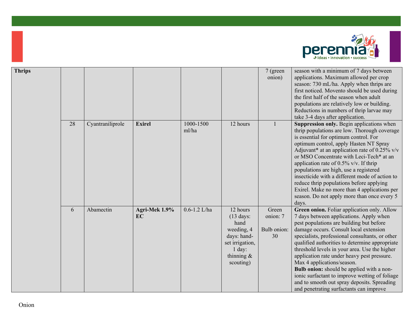

| <b>Thrips</b> |    |                  |                     |                    |                                                                                                                                   | 7 (green<br>onion)                     | season with a minimum of 7 days between<br>applications. Maximum allowed per crop<br>season: 730 mL/ha. Apply when thrips are<br>first noticed. Movento should be used during<br>the first half of the season when adult<br>populations are relatively low or building.<br>Reductions in numbers of thrip larvae may<br>take 3-4 days after application.                                                                                                                                                                                                                                                 |
|---------------|----|------------------|---------------------|--------------------|-----------------------------------------------------------------------------------------------------------------------------------|----------------------------------------|----------------------------------------------------------------------------------------------------------------------------------------------------------------------------------------------------------------------------------------------------------------------------------------------------------------------------------------------------------------------------------------------------------------------------------------------------------------------------------------------------------------------------------------------------------------------------------------------------------|
|               | 28 | Cyantraniliprole | <b>Exirel</b>       | 1000-1500<br>ml/ha | 12 hours                                                                                                                          | 1                                      | Suppression only. Begin applications when<br>thrip populations are low. Thorough coverage<br>is essential for optimum control. For<br>optimum control, apply Hasten NT Spray<br>Adjuvant* at an application rate of $0.25\%$ v/v<br>or MSO Concentrate with Leci-Tech* at an<br>application rate of 0.5% v/v. If thrip<br>populations are high, use a registered<br>insecticide with a different mode of action to<br>reduce thrip populations before applying<br>Exirel. Make no more than 4 applications per<br>season. Do not apply more than once every 5<br>days.                                   |
|               | 6  | Abamectin        | Agri-Mek 1.9%<br>EC | $0.6 - 1.2$ L/ha   | 12 hours<br>$(13 \text{ days})$<br>hand<br>weeding, 4<br>days: hand-<br>set irrigation,<br>$1$ day:<br>thinning $\&$<br>scouting) | Green<br>onion: 7<br>Bulb onion:<br>30 | Green onion. Foliar application only. Allow<br>7 days between applications. Apply when<br>pest populations are building but before<br>damage occurs. Consult local extension<br>specialists, professional consultants, or other<br>qualified authorities to determine appropriate<br>threshold levels in your area. Use the higher<br>application rate under heavy pest pressure.<br>Max 4 applications/season.<br>Bulb onion: should be applied with a non-<br>ionic surfactant to improve wetting of foliage<br>and to smooth out spray deposits. Spreading<br>and penetrating surfactants can improve |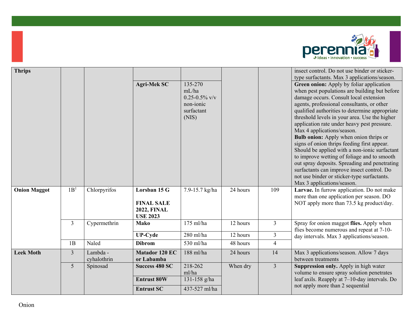

| <b>Thrips</b>       |                 |                         | <b>Agri-Mek SC</b>                                                         | 135-270<br>mL/ha<br>$0.25 - 0.5\%$ v/v<br>non-ionic<br>surfactant<br>(NIS) |          |                | insect control. Do not use binder or sticker-<br>type surfactants. Max 3 applications/season.<br>Green onion: Apply by foliar application<br>when pest populations are building but before<br>damage occurs. Consult local extension<br>agents, professional consultants, or other<br>qualified authorities to determine appropriate<br>threshold levels in your area. Use the higher<br>application rate under heavy pest pressure.<br>Max 4 applications/season.<br><b>Bulb onion:</b> Apply when onion thrips or<br>signs of onion thrips feeding first appear.<br>Should be applied with a non-ionic surfactant<br>to improve wetting of foliage and to smooth<br>out spray deposits. Spreading and penetrating<br>surfactants can improve insect control. Do<br>not use binder or sticker-type surfactants.<br>Max 3 applications/season. |
|---------------------|-----------------|-------------------------|----------------------------------------------------------------------------|----------------------------------------------------------------------------|----------|----------------|------------------------------------------------------------------------------------------------------------------------------------------------------------------------------------------------------------------------------------------------------------------------------------------------------------------------------------------------------------------------------------------------------------------------------------------------------------------------------------------------------------------------------------------------------------------------------------------------------------------------------------------------------------------------------------------------------------------------------------------------------------------------------------------------------------------------------------------------|
| <b>Onion Maggot</b> | 1B <sup>1</sup> | Chlorpyrifos            | Lorsban 15 G<br><b>FINAL SALE</b><br><b>2022, FINAL</b><br><b>USE 2023</b> | 7.9-15.7 kg/ha                                                             | 24 hours | 109            | Larvae. In furrow application. Do not make<br>more than one application per season. DO<br>NOT apply more than 73.5 kg product/day.                                                                                                                                                                                                                                                                                                                                                                                                                                                                                                                                                                                                                                                                                                             |
|                     | 3               | Cypermethrin            | <b>Mako</b>                                                                | $175$ ml/ha                                                                | 12 hours | 3              | Spray for onion maggot flies. Apply when<br>flies become numerous and repeat at 7-10-                                                                                                                                                                                                                                                                                                                                                                                                                                                                                                                                                                                                                                                                                                                                                          |
|                     |                 |                         | <b>UP-Cyde</b>                                                             | 280 ml/ha                                                                  | 12 hours | $\mathfrak{Z}$ | day intervals. Max 3 applications/season.                                                                                                                                                                                                                                                                                                                                                                                                                                                                                                                                                                                                                                                                                                                                                                                                      |
|                     | 1B              | Naled                   | <b>Dibrom</b>                                                              | 530 ml/ha                                                                  | 48 hours | $\overline{4}$ |                                                                                                                                                                                                                                                                                                                                                                                                                                                                                                                                                                                                                                                                                                                                                                                                                                                |
| <b>Leek Moth</b>    | $\overline{3}$  | Lambda -<br>cyhalothrin | <b>Matador 120 EC</b><br>or Labamba                                        | 188 ml/ha                                                                  | 24 hours | 14             | Max 3 applications/season. Allow 7 days<br>between treatments                                                                                                                                                                                                                                                                                                                                                                                                                                                                                                                                                                                                                                                                                                                                                                                  |
|                     | 5               | Spinosad                | <b>Success 480 SC</b><br><b>Entrust 80W</b><br><b>Entrust SC</b>           | 218-262<br>ml/ha<br>131-158 g/ha<br>437-527 ml/ha                          | When dry | $\overline{3}$ | Suppression only. Apply in high water<br>volume to ensure spray solution penetrates<br>leaf axils. Reapply at $7-10$ -day intervals. Do<br>not apply more than 2 sequential                                                                                                                                                                                                                                                                                                                                                                                                                                                                                                                                                                                                                                                                    |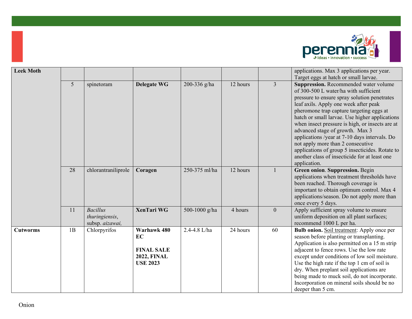

| <b>Leek Moth</b> |    |                                                      |                                                                                 |               |          |                  | applications. Max 3 applications per year.<br>Target eggs at hatch or small larvae.                                                                                                                                                                                                                                                                                                                                                                                                                                                                                   |
|------------------|----|------------------------------------------------------|---------------------------------------------------------------------------------|---------------|----------|------------------|-----------------------------------------------------------------------------------------------------------------------------------------------------------------------------------------------------------------------------------------------------------------------------------------------------------------------------------------------------------------------------------------------------------------------------------------------------------------------------------------------------------------------------------------------------------------------|
|                  | 5  | spinetoram                                           | <b>Delegate WG</b>                                                              | 200-336 g/ha  | 12 hours | $\overline{3}$   | Suppression. Recommended water volume<br>of 300-500 L water/ha with sufficient<br>pressure to ensure spray solution penetrates<br>leaf axils. Apply one week after peak<br>pheromone trap capture targeting eggs at<br>hatch or small larvae. Use higher applications<br>when insect pressure is high, or insects are at<br>advanced stage of growth. Max 3<br>applications /year at 7-10 days intervals. Do<br>not apply more than 2 consecutive<br>applications of group 5 insecticides. Rotate to<br>another class of insecticide for at least one<br>application. |
|                  | 28 | chlorantraniliprole                                  | Coragen                                                                         | 250-375 ml/ha | 12 hours | 1                | Green onion. Suppression. Begin<br>applications when treatment thresholds have<br>been reached. Thorough coverage is<br>important to obtain optimum control. Max 4<br>applications/season. Do not apply more than<br>once every 5 days.                                                                                                                                                                                                                                                                                                                               |
|                  | 11 | <b>Bacillus</b><br>thuringiensis,<br>subsp. aizawai, | <b>XenTari WG</b>                                                               | 500-1000 g/ha | 4 hours  | $\boldsymbol{0}$ | Apply sufficient spray volume to ensure<br>uniform deposition on all plant surfaces;<br>recommend 1000 L per ha.                                                                                                                                                                                                                                                                                                                                                                                                                                                      |
| <b>Cutworms</b>  | 1B | Chlorpyrifos                                         | Warhawk 480<br>EC<br><b>FINAL SALE</b><br><b>2022, FINAL</b><br><b>USE 2023</b> | 2.4-4.8 L/ha  | 24 hours | 60               | Bulb onion. Soil treatment: Apply once per<br>season before planting or transplanting.<br>Application is also permitted on a 15 m strip<br>adjacent to fence rows. Use the low rate<br>except under conditions of low soil moisture.<br>Use the high rate if the top 1 cm of soil is<br>dry. When preplant soil applications are<br>being made to muck soil, do not incorporate.<br>Incorporation on mineral soils should be no<br>deeper than 5 cm.                                                                                                                  |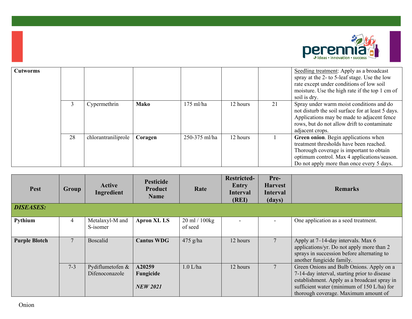

| <b>Cutworms</b> |    |                     |             |               |          |    | Seedling treatment: Apply as a broadcast<br>spray at the 2- to 5-leaf stage. Use the low<br>rate except under conditions of low soil<br>moisture. Use the high rate if the top 1 cm of<br>soil is dry.                  |
|-----------------|----|---------------------|-------------|---------------|----------|----|-------------------------------------------------------------------------------------------------------------------------------------------------------------------------------------------------------------------------|
|                 | 3  | Cypermethrin        | <b>Mako</b> | $175$ ml/ha   | 12 hours | 21 | Spray under warm moist conditions and do<br>not disturb the soil surface for at least 5 days.<br>Applications may be made to adjacent fence<br>rows, but do not allow drift to contaminate<br>adjacent crops.           |
|                 | 28 | chlorantraniliprole | Coragen     | 250-375 ml/ha | 12 hours |    | Green onion. Begin applications when<br>treatment thresholds have been reached.<br>Thorough coverage is important to obtain<br>optimum control. Max 4 applications/season.<br>Do not apply more than once every 5 days. |

| Pest                 | Group   | <b>Active</b><br>Ingredient        | <b>Pesticide</b><br><b>Product</b><br><b>Name</b> | Rate                     | <b>Restricted-</b><br>Entry<br><b>Interval</b><br>(REI) | Pre-<br><b>Harvest</b><br><b>Interval</b><br>(days) | <b>Remarks</b>                                                                                                                                                                                                                 |
|----------------------|---------|------------------------------------|---------------------------------------------------|--------------------------|---------------------------------------------------------|-----------------------------------------------------|--------------------------------------------------------------------------------------------------------------------------------------------------------------------------------------------------------------------------------|
| <b>DISEASES:</b>     |         |                                    |                                                   |                          |                                                         |                                                     |                                                                                                                                                                                                                                |
| Pythium              | 4       | Metalaxyl-M and<br>S-isomer        | <b>Apron XL LS</b>                                | 20 ml / 100kg<br>of seed |                                                         |                                                     | One application as a seed treatment.                                                                                                                                                                                           |
| <b>Purple Blotch</b> |         | <b>Boscalid</b>                    | <b>Cantus WDG</b>                                 | $475$ g/ha               | 12 hours                                                |                                                     | Apply at 7-14-day intervals. Max 6<br>applications/yr. Do not apply more than 2<br>sprays in succession before alternating to<br>another fungicide family.                                                                     |
|                      | $7 - 3$ | Pydiflumetofen &<br>Difenoconazole | A20259<br>Fungicide<br><b>NEW 2021</b>            | $1.0$ L/ha               | 12 hours                                                |                                                     | Green Onions and Bulb Onions. Apply on a<br>7-14-day interval, starting prior to disease<br>establishment. Apply as a broadcast spray in<br>sufficient water (minimum of 150 L/ha) for<br>thorough coverage. Maximum amount of |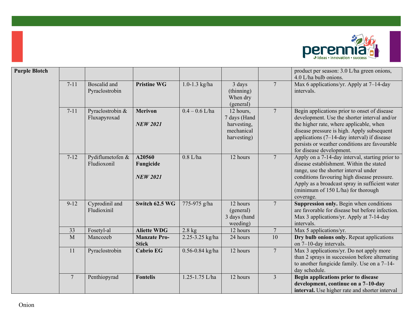

| <b>Purple Blotch</b> |                |                                  |                                        |                     |                                                                       |                 | product per season: 3.0 L/ha green onions,<br>4.0 L/ha bulb onions.                                                                                                                                                                                                                                               |
|----------------------|----------------|----------------------------------|----------------------------------------|---------------------|-----------------------------------------------------------------------|-----------------|-------------------------------------------------------------------------------------------------------------------------------------------------------------------------------------------------------------------------------------------------------------------------------------------------------------------|
|                      | $7 - 11$       | Boscalid and<br>Pyraclostrobin   | <b>Pristine WG</b>                     | $1.0 - 1.3$ kg/ha   | 3 days<br>(thinning)<br>When dry<br>(general)                         | $\overline{7}$  | Max 6 applications/yr. Apply at 7-14-day<br>intervals.                                                                                                                                                                                                                                                            |
|                      | $7 - 11$       | Pyraclostrobin &<br>Fluxapyroxad | <b>Merivon</b><br><b>NEW 2021</b>      | $0.4 - 0.6$ L/ha    | 12 hours,<br>7 days (Hand<br>harvesting,<br>mechanical<br>harvesting) | $\overline{7}$  | Begin applications prior to onset of disease<br>development. Use the shorter interval and/or<br>the higher rate, where applicable, when<br>disease pressure is high. Apply subsequent<br>applications (7-14-day interval) if disease<br>persists or weather conditions are favourable<br>for disease development. |
|                      | $7 - 12$       | Pydiflumetofen &<br>Fludioxonil  | A20560<br>Fungicide<br><b>NEW 2021</b> | $0.8$ L/ha          | 12 hours                                                              | $7\phantom{.0}$ | Apply on a 7-14-day interval, starting prior to<br>disease establishment. Within the stated<br>range, use the shorter interval under<br>conditions favouring high disease pressure.<br>Apply as a broadcast spray in sufficient water<br>(minimum of 150 L/ha) for thorough<br>coverage.                          |
|                      | $9 - 12$       | Cyprodinil and<br>Fludioxinil    | Switch 62.5 WG                         | 775-975 g/ha        | 12 hours<br>(general)<br>3 days (hand<br>weeding)                     | $7\phantom{.0}$ | Suppression only. Begin when conditions<br>are favorable for disease but before infection.<br>Max 3 applications/yr. Apply at 7-14-day<br>intervals.                                                                                                                                                              |
|                      | 33             | Fosetyl-al                       | <b>Aliette WDG</b>                     | $2.8$ kg            | 12 hours                                                              | $\overline{7}$  | Max 5 applications/yr.                                                                                                                                                                                                                                                                                            |
|                      | M              | Mancozeb                         | <b>Manzate Pro-</b><br><b>Stick</b>    | 2.25-3.25 kg/ha     | 24 hours                                                              | 10              | Dry bulb onions only. Repeat applications<br>on 7-10-day intervals.                                                                                                                                                                                                                                               |
|                      | 11             | Pyraclostrobin                   | <b>Cabrio EG</b>                       | $0.56 - 0.84$ kg/ha | 12 hours                                                              | $7\phantom{.0}$ | Max 3 applications/yr. Do not apply more<br>than 2 sprays in succession before alternating<br>to another fungicide family. Use on a $7-14$ -<br>day schedule.                                                                                                                                                     |
|                      | $\overline{7}$ | Penthiopyrad                     | <b>Fontelis</b>                        | 1.25-1.75 L/ha      | 12 hours                                                              | $\overline{3}$  | Begin applications prior to disease<br>development, continue on a 7-10-day<br>interval. Use higher rate and shorter interval                                                                                                                                                                                      |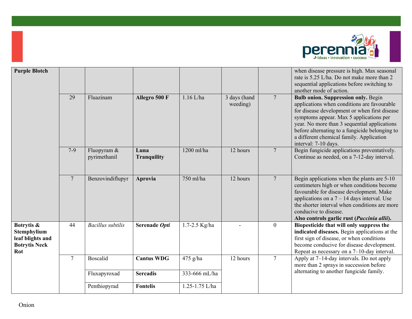

| <b>Purple Blotch</b>                                                         |                |                             |                            |                   |                          |                  | when disease pressure is high. Max seasonal<br>rate is 5.25 L/ha. Do not make more than 2<br>sequential applications before switching to<br>another mode of action.                                                                                                                                                                                         |
|------------------------------------------------------------------------------|----------------|-----------------------------|----------------------------|-------------------|--------------------------|------------------|-------------------------------------------------------------------------------------------------------------------------------------------------------------------------------------------------------------------------------------------------------------------------------------------------------------------------------------------------------------|
|                                                                              | 29             | Fluazinam                   | Allegro 500 F              | $1.16$ L/ha       | 3 days (hand<br>weeding) | $7\phantom{.0}$  | <b>Bulb onion. Suppression only. Begin</b><br>applications when conditions are favourable<br>for disease development or when first disease<br>symptoms appear. Max 5 applications per<br>year. No more than 3 sequential applications<br>before alternating to a fungicide belonging to<br>a different chemical family. Application<br>interval: 7-10 days. |
|                                                                              | $7-9$          | Fluopyram &<br>pyrimethanil | Luna<br><b>Tranquility</b> | 1200 ml/ha        | 12 hours                 | $7\phantom{.0}$  | Begin fungicide applications preventatively.<br>Continue as needed, on a 7-12-day interval.                                                                                                                                                                                                                                                                 |
|                                                                              | $\overline{7}$ | Benzovindiflupyr            | Aprovia                    | 750 ml/ha         | 12 hours                 | $7\phantom{.0}$  | Begin applications when the plants are 5-10<br>centimeters high or when conditions become<br>favourable for disease development. Make<br>applications on a $7 - 14$ days interval. Use<br>the shorter interval when conditions are more<br>conducive to disease.<br>Also controls garlic rust (Puccinia allii).                                             |
| Botrytis &<br>Stemphylium<br>leaf blights and<br><b>Botrytis Neck</b><br>Rot | 44             | <b>Bacillus</b> subtilis    | Serenade Opti              | $1.7 - 2.5$ Kg/ha |                          | $\boldsymbol{0}$ | Biopesticide that will only suppress the<br>indicated diseases. Begin applications at the<br>first sign of disease, or when conditions<br>become conducive for disease development.<br>Repeat as necessary on a $7-10$ -day interval.                                                                                                                       |
|                                                                              | $\overline{7}$ | <b>Boscalid</b>             | <b>Cantus WDG</b>          | $475$ g/ha        | 12 hours                 | $\tau$           | Apply at 7-14-day intervals. Do not apply<br>more than 2 sprays in succession before                                                                                                                                                                                                                                                                        |
|                                                                              |                | Fluxapyroxad                | <b>Sercadis</b>            | 333-666 mL/ha     |                          |                  | alternating to another fungicide family.                                                                                                                                                                                                                                                                                                                    |
|                                                                              |                | Penthiopyrad                | <b>Fontelis</b>            | 1.25-1.75 L/ha    |                          |                  |                                                                                                                                                                                                                                                                                                                                                             |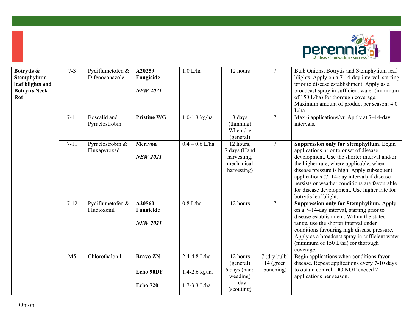

| Botrytis &<br>Stemphylium<br>leaf blights and<br><b>Botrytis Neck</b><br>Rot | $7 - 3$        | Pydiflumetofen &<br>Difenoconazole | A20259<br>Fungicide<br><b>NEW 2021</b> | $1.0$ L/ha        | 12 hours                                                              | $\tau$                      | Bulb Onions, Botrytis and Stemphylium leaf<br>blights. Apply on a 7-14-day interval, starting<br>prior to disease establishment. Apply as a<br>broadcast spray in sufficient water (minimum<br>of 150 L/ha) for thorough coverage.<br>Maximum amount of product per season: 4.0<br>L/ha.                                                                                                                      |
|------------------------------------------------------------------------------|----------------|------------------------------------|----------------------------------------|-------------------|-----------------------------------------------------------------------|-----------------------------|---------------------------------------------------------------------------------------------------------------------------------------------------------------------------------------------------------------------------------------------------------------------------------------------------------------------------------------------------------------------------------------------------------------|
|                                                                              | $7 - 11$       | Boscalid and<br>Pyraclostrobin     | <b>Pristine WG</b>                     | $1.0 - 1.3$ kg/ha | 3 days<br>(thinning)<br>When dry<br>(general)                         | $\overline{7}$              | Max 6 applications/yr. Apply at 7-14-day<br>intervals.                                                                                                                                                                                                                                                                                                                                                        |
|                                                                              | $7 - 11$       | Pyraclostrobin &<br>Fluxapyroxad   | <b>Merivon</b><br><b>NEW 2021</b>      | $0.4 - 0.6$ L/ha  | 12 hours,<br>7 days (Hand<br>harvesting,<br>mechanical<br>harvesting) | $7\phantom{.0}$             | <b>Suppression only for Stemphylium. Begin</b><br>applications prior to onset of disease<br>development. Use the shorter interval and/or<br>the higher rate, where applicable, when<br>disease pressure is high. Apply subsequent<br>applications $(7-14$ -day interval) if disease<br>persists or weather conditions are favourable<br>for disease development. Use higher rate for<br>botrytis leaf blight. |
|                                                                              | $7 - 12$       | Pydiflumetofen &<br>Fludioxonil    | A20560<br>Fungicide<br><b>NEW 2021</b> | $0.8$ L/ha        | 12 hours                                                              | $\overline{7}$              | <b>Suppression only for Stemphylium.</b> Apply<br>on a $7-14$ -day interval, starting prior to<br>disease establishment. Within the stated<br>range, use the shorter interval under<br>conditions favouring high disease pressure.<br>Apply as a broadcast spray in sufficient water<br>(minimum of 150 L/ha) for thorough<br>coverage.                                                                       |
|                                                                              | M <sub>5</sub> | Chlorothalonil                     | <b>Bravo ZN</b>                        | 2.4-4.8 L/ha      | 12 hours<br>(general)                                                 | 7 (dry bulb)<br>$14$ (green | Begin applications when conditions favor<br>disease. Repeat applications every 7-10 days<br>to obtain control. DO NOT exceed 2                                                                                                                                                                                                                                                                                |
|                                                                              |                |                                    | Echo 90DF                              | 1.4-2.6 kg/ha     | 6 days (hand<br>weeding)                                              | bunching)                   | applications per season.                                                                                                                                                                                                                                                                                                                                                                                      |
|                                                                              |                |                                    | <b>Echo 720</b>                        | 1.7-3.3 L/ha      | 1 day<br>(scouting)                                                   |                             |                                                                                                                                                                                                                                                                                                                                                                                                               |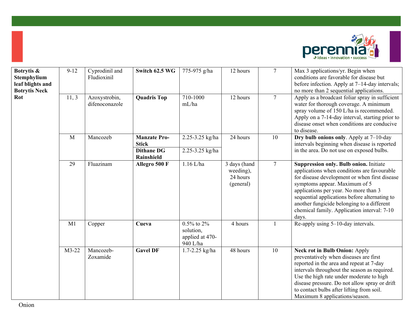

| Botrytis &<br>Stemphylium<br>leaf blights and<br><b>Botrytis Neck</b><br>Rot | $9 - 12$ | Cyprodinil and<br>Fludioxinil   | Switch 62.5 WG                      | 775-975 g/ha                                                 | 12 hours                                           | $\tau$          | Max 3 applications/yr. Begin when<br>conditions are favorable for disease but<br>before infection. Apply at 7-14-day intervals;<br>no more than 2 sequential applications.                                                                                                                                                                                              |
|------------------------------------------------------------------------------|----------|---------------------------------|-------------------------------------|--------------------------------------------------------------|----------------------------------------------------|-----------------|-------------------------------------------------------------------------------------------------------------------------------------------------------------------------------------------------------------------------------------------------------------------------------------------------------------------------------------------------------------------------|
|                                                                              | 11, 3    | Azoxystrobin,<br>difenoconazole | <b>Quadris Top</b>                  | 710-1000<br>mL/ha                                            | 12 hours                                           | $\tau$          | Apply as a broadcast foliar spray in sufficient<br>water for thorough coverage. A minimum<br>spray volume of 150 L/ha is recommended.<br>Apply on a 7-14-day interval, starting prior to<br>disease onset when conditions are conducive<br>to disease.                                                                                                                  |
|                                                                              | M        | Mancozeb                        | <b>Manzate Pro-</b><br><b>Stick</b> | 2.25-3.25 kg/ha                                              | 24 hours                                           | 10              | Dry bulb onions only. Apply at 7-10-day<br>intervals beginning when disease is reported                                                                                                                                                                                                                                                                                 |
|                                                                              |          |                                 | <b>Dithane DG</b><br>Rainshield     | 2.25-3.25 kg/ha                                              |                                                    |                 | in the area. Do not use on exposed bulbs.                                                                                                                                                                                                                                                                                                                               |
|                                                                              | 29       | Fluazinam                       | Allegro 500 F                       | $1.16$ L/ha                                                  | 3 days (hand<br>weeding),<br>24 hours<br>(general) | $7\overline{ }$ | Suppression only. Bulb onion. Initiate<br>applications when conditions are favourable<br>for disease development or when first disease<br>symptoms appear. Maximum of 5<br>applications per year. No more than 3<br>sequential applications before alternating to<br>another fungicide belonging to a different<br>chemical family. Application interval: 7-10<br>days. |
|                                                                              | M1       | Copper                          | Cueva                               | $0.5\%$ to $2\%$<br>solution,<br>applied at 470-<br>940 L/ha | 4 hours                                            | $\mathbf{1}$    | Re-apply using 5-10-day intervals.                                                                                                                                                                                                                                                                                                                                      |
|                                                                              | M3-22    | Mancozeb-<br>Zoxamide           | <b>Gavel DF</b>                     | 1.7-2.25 kg/ha                                               | 48 hours                                           | 10              | <b>Neck rot in Bulb Onion: Apply</b><br>preventatively when diseases are first<br>reported in the area and repeat at 7-day<br>intervals throughout the season as required.<br>Use the high rate under moderate to high<br>disease pressure. Do not allow spray or drift<br>to contact bulbs after lifting from soil.<br>Maximum 8 applications/season.                  |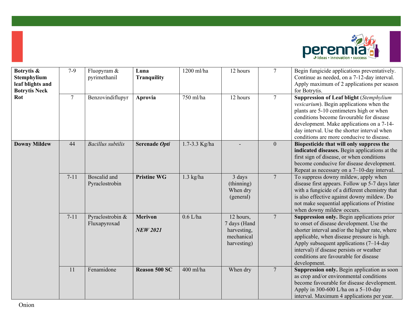

| Botrytis &<br><b>Stemphylium</b><br>leaf blights and<br><b>Botrytis Neck</b> | $7-9$    | Fluopyram &<br>pyrimethanil           | Luna<br><b>Tranquility</b>        | 1200 ml/ha    | 12 hours                                                              | $\overline{7}$   | Begin fungicide applications preventatively.<br>Continue as needed, on a 7-12-day interval.<br>Apply maximum of 2 applications per season<br>for Botrytis.                                                                                                                                                                                |
|------------------------------------------------------------------------------|----------|---------------------------------------|-----------------------------------|---------------|-----------------------------------------------------------------------|------------------|-------------------------------------------------------------------------------------------------------------------------------------------------------------------------------------------------------------------------------------------------------------------------------------------------------------------------------------------|
| Rot                                                                          | $\tau$   | Benzovindiflupyr                      | Aprovia                           | 750 ml/ha     | 12 hours                                                              | $\overline{7}$   | <b>Suppression of Leaf blight (Stemphylium</b><br>vesicarium). Begin applications when the<br>plants are 5-10 centimeters high or when<br>conditions become favourable for disease<br>development. Make applications on a 7-14-<br>day interval. Use the shorter interval when<br>conditions are more conducive to disease.               |
| <b>Downy Mildew</b>                                                          | 44       | <b>Bacillus</b> subtilis              | Serenade Opti                     | 1.7-3.3 Kg/ha |                                                                       | $\boldsymbol{0}$ | Biopesticide that will only suppress the<br>indicated diseases. Begin applications at the<br>first sign of disease, or when conditions<br>become conducive for disease development.<br>Repeat as necessary on a $7-10$ -day interval.                                                                                                     |
|                                                                              | $7 - 11$ | <b>Boscalid</b> and<br>Pyraclostrobin | <b>Pristine WG</b>                | $1.3$ kg/ha   | 3 days<br>(thinning)<br>When dry<br>(general)                         | $\overline{7}$   | To suppress downy mildew, apply when<br>disease first appears. Follow up 5-7 days later<br>with a fungicide of a different chemistry that<br>is also effective against downy mildew. Do<br>not make sequential applications of Pristine<br>when downy mildew occurs.                                                                      |
|                                                                              | $7 - 11$ | Pyraclostrobin &<br>Fluxapyroxad      | <b>Merivon</b><br><b>NEW 2021</b> | $0.6$ L/ha    | 12 hours,<br>7 days (Hand<br>harvesting,<br>mechanical<br>harvesting) | $\overline{7}$   | Suppression only. Begin applications prior<br>to onset of disease development. Use the<br>shorter interval and/or the higher rate, where<br>applicable, when disease pressure is high.<br>Apply subsequent applications $(7-14-day)$<br>interval) if disease persists or weather<br>conditions are favourable for disease<br>development. |
|                                                                              | 11       | Fenamidone                            | <b>Reason 500 SC</b>              | 400 ml/ha     | When dry                                                              | $\overline{7}$   | Suppression only. Begin application as soon<br>as crop and/or environmental conditions<br>become favourable for disease development.<br>Apply in 300-600 L/ha on a 5-10-day<br>interval. Maximum 4 applications per year.                                                                                                                 |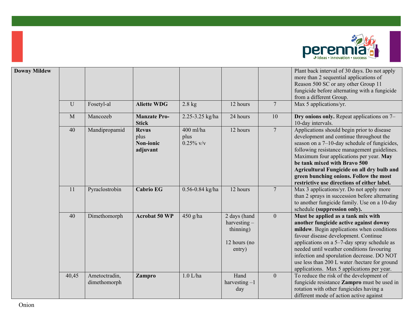

| <b>Downy Mildew</b> |              |                               |                                               |                                   |                                                                       |                  | Plant back interval of 30 days. Do not apply<br>more than 2 sequential applications of<br>Reason 500 SC or any other Group 11<br>fungicide before alternating with a fungicide<br>from a different Group.                                                                                                                                                                                                   |
|---------------------|--------------|-------------------------------|-----------------------------------------------|-----------------------------------|-----------------------------------------------------------------------|------------------|-------------------------------------------------------------------------------------------------------------------------------------------------------------------------------------------------------------------------------------------------------------------------------------------------------------------------------------------------------------------------------------------------------------|
|                     | U            | Fosetyl-al                    | <b>Aliette WDG</b>                            | $2.8$ kg                          | 12 hours                                                              | $7\phantom{.0}$  | Max 5 applications/yr.                                                                                                                                                                                                                                                                                                                                                                                      |
|                     | $\mathbf{M}$ | Mancozeb                      | <b>Manzate Pro-</b><br><b>Stick</b>           | 2.25-3.25 kg/ha                   | 24 hours                                                              | 10               | Dry onions only. Repeat applications on 7–<br>10-day intervals.                                                                                                                                                                                                                                                                                                                                             |
|                     | 40           | Mandipropamid                 | <b>Revus</b><br>plus<br>Non-ionic<br>adjuvant | 400 ml/ha<br>plus<br>$0.25\%$ v/v | 12 hours                                                              | $7\phantom{.0}$  | Applications should begin prior to disease<br>development and continue throughout the<br>season on a 7–10-day schedule of fungicides,<br>following resistance management guidelines.<br>Maximum four applications per year. May<br>be tank mixed with Bravo 500<br>Agricultural Fungicide on all dry bulb and<br>green bunching onions. Follow the most<br>restrictive use directions of either label.      |
|                     | 11           | Pyraclostrobin                | <b>Cabrio EG</b>                              | $0.56 - 0.84$ kg/ha               | 12 hours                                                              | $7\phantom{.0}$  | Max 3 applications/yr. Do not apply more<br>than 2 sprays in succession before alternating<br>to another fungicide family. Use on a 10-day<br>schedule (suppression only).                                                                                                                                                                                                                                  |
|                     | 40           | Dimethomorph                  | <b>Acrobat 50 WP</b>                          | $450$ g/ha                        | 2 days (hand<br>harvesting $-$<br>thinning)<br>12 hours (no<br>entry) | $\mathbf{0}$     | Must be applied as a tank mix with<br>another fungicide active against downy<br>mildew. Begin applications when conditions<br>favour disease development. Continue<br>applications on a 5-7-day spray schedule as<br>needed until weather conditions favouring<br>infection and sporulation decrease. DO NOT<br>use less than 200 L water /hectare for ground<br>applications. Max 5 applications per year. |
|                     | 40,45        | Ametoctradin,<br>dimethomorph | Zampro                                        | $1.0$ L/ha                        | Hand<br>harvesting $-1$<br>day                                        | $\boldsymbol{0}$ | To reduce the risk of the development of<br>fungicide resistance Zampro must be used in<br>rotation with other fungicides having a<br>different mode of action active against                                                                                                                                                                                                                               |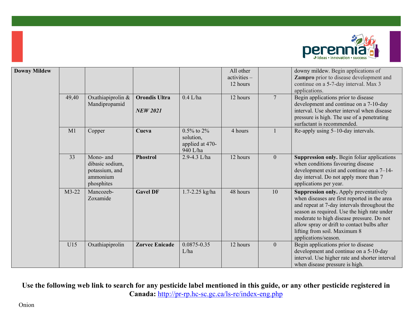

| <b>Downy Mildew</b> |       |                                                                          |                                         |                                                              | All other<br>activities -<br>12 hours |                 | downy mildew. Begin applications of<br>Zampro prior to disease development and<br>continue on a 5-7-day interval. Max 3<br>applications.                                                                                                                                                                                                  |
|---------------------|-------|--------------------------------------------------------------------------|-----------------------------------------|--------------------------------------------------------------|---------------------------------------|-----------------|-------------------------------------------------------------------------------------------------------------------------------------------------------------------------------------------------------------------------------------------------------------------------------------------------------------------------------------------|
|                     | 49,40 | Oxathiapiprolin &<br>Mandipropamid                                       | <b>Orondis Ultra</b><br><b>NEW 2021</b> | $0.4$ L/ha                                                   | 12 hours                              | $7\phantom{.0}$ | Begin applications prior to disease<br>development and continue on a 7-10-day<br>interval. Use shorter interval when disease<br>pressure is high. The use of a penetrating<br>surfactant is recommended.                                                                                                                                  |
|                     | M1    | Copper                                                                   | Cueva                                   | $0.5\%$ to $2\%$<br>solution,<br>applied at 470-<br>940 L/ha | 4 hours                               |                 | Re-apply using 5-10-day intervals.                                                                                                                                                                                                                                                                                                        |
|                     | 33    | Mono- and<br>dibasic sodium,<br>potassium, and<br>ammonium<br>phosphites | <b>Phostrol</b>                         | 2.9-4.3 L/ha                                                 | 12 hours                              | $\mathbf{0}$    | Suppression only. Begin foliar applications<br>when conditions favouring disease<br>development exist and continue on a $7-14$ -<br>day interval. Do not apply more than 7<br>applications per year.                                                                                                                                      |
|                     | M3-22 | Mancozeb-<br>Zoxamide                                                    | <b>Gavel DF</b>                         | 1.7-2.25 kg/ha                                               | 48 hours                              | 10              | Suppression only. Apply preventatively<br>when diseases are first reported in the area<br>and repeat at 7-day intervals throughout the<br>season as required. Use the high rate under<br>moderate to high disease pressure. Do not<br>allow spray or drift to contact bulbs after<br>lifting from soil. Maximum 8<br>applications/season. |
|                     | U15   | Oxathiapiprolin                                                          | <b>Zorvec Enicade</b>                   | 0.0875-0.35<br>L/ha                                          | 12 hours                              | $\mathbf{0}$    | Begin applications prior to disease<br>development and continue on a 5-10-day<br>interval. Use higher rate and shorter interval<br>when disease pressure is high.                                                                                                                                                                         |

**Use the following web link to search for any pesticide label mentioned in this guide, or any other pesticide registered in Canada:** <http://pr-rp.hc-sc.gc.ca/ls-re/index-eng.php>